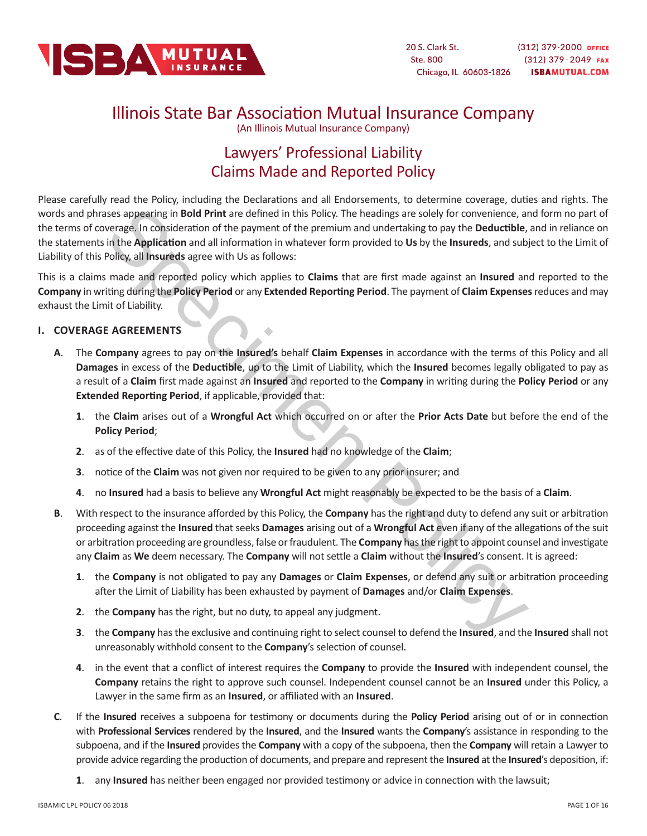

# Illinois State Bar Association Mutual Insurance Company

(An Illinois Mutual Insurance Company)

# Lawyers' Professional Liability Claims Made and Reported Policy

ses appearing in **Bold Print** are defined in this Policy. The headings are solely for convenience, an<br>everage, in consideration of the paynent of the premium and undertaking to pay the **Deutichle**,<br>In the **Application** and Please carefully read the Policy, including the Declarations and all Endorsements, to determine coverage, duties and rights. The words and phrases appearing in **Bold Print** are defined in this Policy. The headings are solely for convenience, and form no part of the terms of coverage. In consideration of the payment of the premium and undertaking to pay the **Deductible**, and in reliance on the statements in the **Application** and all information in whatever form provided to **Us** by the **Insureds**, and subject to the Limit of Liability of this Policy, all **Insureds** agree with Us as follows:

This is a claims made and reported policy which applies to **Claims** that are first made against an **Insured** and reported to the **Company** in writing during the **Policy Period** or any **Extended Reporting Period**. The payment of **Claim Expenses** reduces and may exhaust the Limit of Liability.

# **I. COVERAGE AGREEMENTS**

- **A**. The **Company** agrees to pay on the **Insured's** behalf **Claim Expenses** in accordance with the terms of this Policy and all **Damages** in excess of the **Deductible**, up to the Limit of Liability, which the **Insured** becomes legally obligated to pay as a result of a **Claim** first made against an **Insured** and reported to the **Company** in writing during the **Policy Period** or any **Extended Reporting Period**, if applicable, provided that:
	- **1**. the **Claim** arises out of a **Wrongful Act** which occurred on or after the **Prior Acts Date** but before the end of the **Policy Period**;
	- **2**. as of the effective date of this Policy, the **Insured** had no knowledge of the **Claim**;
	- **3**. notice of the **Claim** was not given nor required to be given to any prior insurer; and
	- **4**. no **Insured** had a basis to believe any **Wrongful Act** might reasonably be expected to be the basis of a **Claim**.
- **B**. With respect to the insurance afforded by this Policy, the **Company** has the right and duty to defend any suit or arbitration proceeding against the **Insured** that seeks **Damages** arising out of a **Wrongful Act** even if any of the allegations of the suit or arbitration proceeding are groundless, false or fraudulent. The **Company** has the right to appoint counsel and investigate any **Claim** as **We** deem necessary. The **Company** will not settle a **Claim** without the **Insured**'s consent. It is agreed:
	- **1**. the **Company** is not obligated to pay any **Damages** or **Claim Expenses**, or defend any suit or arbitration proceeding after the Limit of Liability has been exhausted by payment of **Damages** and/or **Claim Expenses**.
	- **2**. the **Company** has the right, but no duty, to appeal any judgment.
	- **3**. the **Company** has the exclusive and continuing right to select counsel to defend the **Insured**, and the **Insured** shall not unreasonably withhold consent to the **Company**'s selection of counsel.
	- **4**. in the event that a conflict of interest requires the **Company** to provide the **Insured** with independent counsel, the **Company** retains the right to approve such counsel. Independent counsel cannot be an **Insured** under this Policy, a Lawyer in the same firm as an **Insured**, or affiliated with an **Insured**.
- **C**. If the **Insured** receives a subpoena for testimony or documents during the **Policy Period** arising out of or in connection with **Professional Services** rendered by the **Insured**, and the **Insured** wants the **Company**'s assistance in responding to the subpoena, and if the **Insured** provides the **Company** with a copy of the subpoena, then the **Company** will retain a Lawyer to provide advice regarding the production of documents, and prepare and represent the **Insured** at the **Insured**'s deposition, if:
	- **1**. any **Insured** has neither been engaged nor provided testimony or advice in connection with the lawsuit;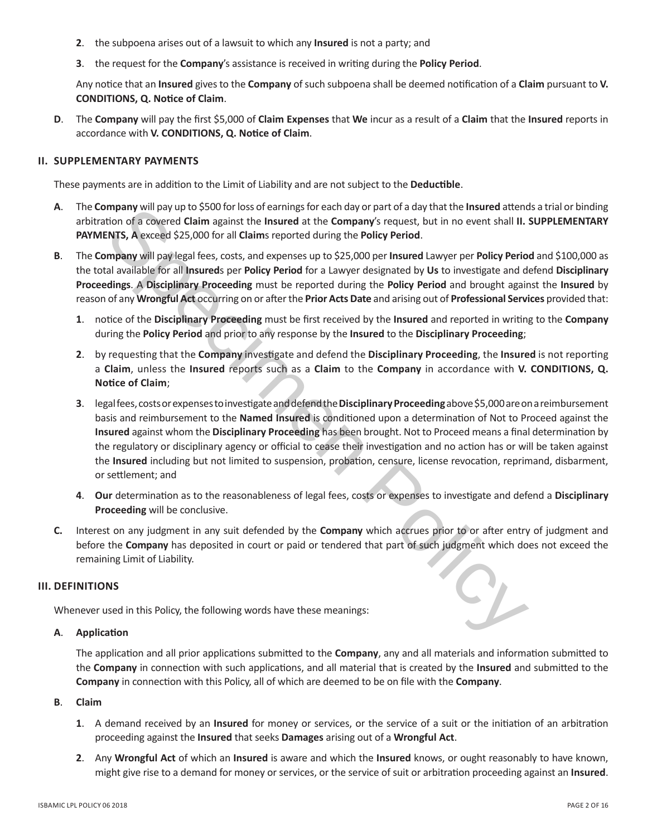- **2**. the subpoena arises out of a lawsuit to which any **Insured** is not a party; and
- **3**. the request for the **Company**'s assistance is received in writing during the **Policy Period**.

Any notice that an **Insured** gives to the **Company** of such subpoena shall be deemed notification of a **Claim** pursuant to **V. CONDITIONS, Q. Notice of Claim**.

**D**. The **Company** will pay the first \$5,000 of **Claim Expenses** that **We** incur as a result of a **Claim** that the **Insured** reports in accordance with **V. CONDITIONS, Q. Notice of Claim**.

#### **II. SUPPLEMENTARY PAYMENTS**

These payments are in addition to the Limit of Liability and are not subject to the **Deductible**.

- **A**. The **Company** will pay up to \$500 for loss of earnings for each day or part of a day that the **Insured** attends a trial or binding arbitration of a covered **Claim** against the **Insured** at the **Company**'s request, but in no event shall **II. SUPPLEMENTARY PAYMENTS, A** exceed \$25,000 for all **Claim**s reported during the **Policy Period**.
- **B**. The **Company** will pay legal fees, costs, and expenses up to \$25,000 per **Insured** Lawyer per **Policy Period** and \$100,000 as the total available for all **Insured**s per **Policy Period** for a Lawyer designated by **Us** to investigate and defend **Disciplinary Proceedings**. A **Disciplinary Proceeding** must be reported during the **Policy Period** and brought against the **Insured** by reason of any **Wrongful Act** occurring on or after the **Prior Acts Date** and arising out of **Professional Services** provided that:
	- **1**. notice of the **Disciplinary Proceeding** must be first received by the **Insured** and reported in writing to the **Company** during the **Policy Period** and prior to any response by the **Insured** to the **Disciplinary Proceeding**;
	- **2**. by requesting that the **Company** investigate and defend the **Disciplinary Proceeding**, the **Insured** is not reporting a **Claim**, unless the **Insured** reports such as a **Claim** to the **Company** in accordance with **V. CONDITIONS, Q. Notice of Claim**;
- mpany will pay up to \$500 for loss of earning for each day or part of a day that the Insured attents. A exceed Claim against the Insured at the Company's request, but in no event shall III.<br>
FINTS, A exceed \$25,000 for all **3**. legal fees, costs or expenses to investigate and defend the **Disciplinary Proceeding** above \$5,000 are on a reimbursement basis and reimbursement to the **Named Insured** is conditioned upon a determination of Not to Proceed against the **Insured** against whom the **Disciplinary Proceeding** has been brought. Not to Proceed means a final determination by the regulatory or disciplinary agency or official to cease their investigation and no action has or will be taken against the **Insured** including but not limited to suspension, probation, censure, license revocation, reprimand, disbarment, or settlement; and
	- **4**. **Our** determination as to the reasonableness of legal fees, costs or expenses to investigate and defend a **Disciplinary Proceeding** will be conclusive.
- **C.** Interest on any judgment in any suit defended by the **Company** which accrues prior to or after entry of judgment and before the **Company** has deposited in court or paid or tendered that part of such judgment which does not exceed the remaining Limit of Liability.

# **III. DEFINITIONS**

Whenever used in this Policy, the following words have these meanings:

# **A**. **Application**

The application and all prior applications submitted to the **Company**, any and all materials and information submitted to the **Company** in connection with such applications, and all material that is created by the **Insured** and submitted to the **Company** in connection with this Policy, all of which are deemed to be on file with the **Company**.

# **B**. **Claim**

- **1**. A demand received by an **Insured** for money or services, or the service of a suit or the initiation of an arbitration proceeding against the **Insured** that seeks **Damages** arising out of a **Wrongful Act**.
- **2**. Any **Wrongful Act** of which an **Insured** is aware and which the **Insured** knows, or ought reasonably to have known, might give rise to a demand for money or services, or the service of suit or arbitration proceeding against an **Insured**.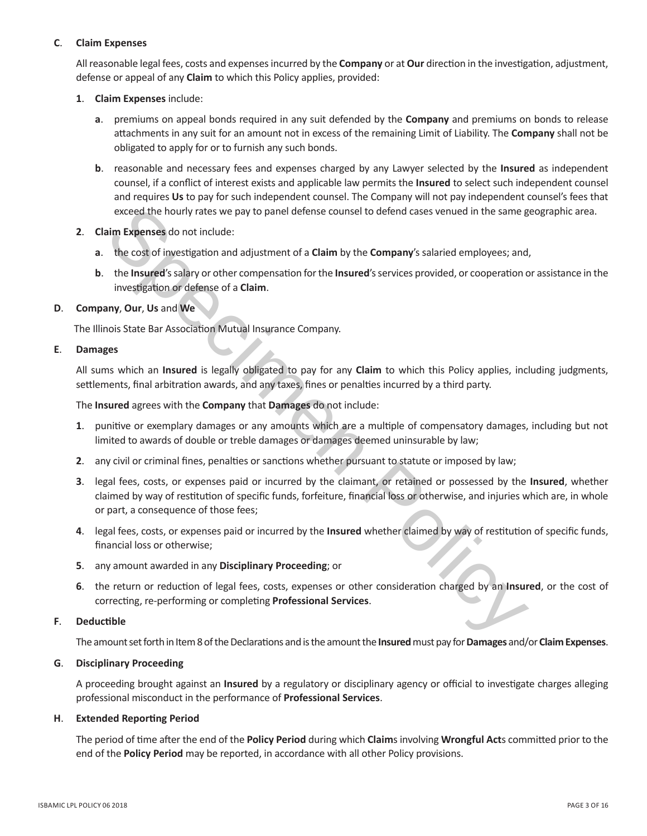# **C**. **Claim Expenses**

All reasonable legal fees, costs and expenses incurred by the **Company** or at **Our** direction in the investigation, adjustment, defense or appeal of any **Claim** to which this Policy applies, provided:

- **1**. **Claim Expenses** include:
	- **a**. premiums on appeal bonds required in any suit defended by the **Company** and premiums on bonds to release attachments in any suit for an amount not in excess of the remaining Limit of Liability. The **Company** shall not be obligated to apply for or to furnish any such bonds.
	- **b**. reasonable and necessary fees and expenses charged by any Lawyer selected by the **Insured** as independent counsel, if a conflict of interest exists and applicable law permits the **Insured** to select such independent counsel and requires **Us** to pay for such independent counsel. The Company will not pay independent counsel's fees that exceed the hourly rates we pay to panel defense counsel to defend cases venued in the same geographic area.
- **2**. **Claim Expenses** do not include:
	- **a**. the cost of investigation and adjustment of a **Claim** by the **Company**'s salaried employees; and,
	- **b**. the **Insured**'s salary or other compensation for the **Insured**'s services provided, or cooperation or assistance in the investigation or defense of a **Claim**.

# **D**. **Company**, **Our**, **Us** and **We**

The Illinois State Bar Association Mutual Insurance Company.

# **E**. **Damages**

All sums which an **Insured** is legally obligated to pay for any **Claim** to which this Policy applies, including judgments, settlements, final arbitration awards, and any taxes, fines or penalties incurred by a third party.

The **Insured** agrees with the **Company** that **Damages** do not include:

- **1**. punitive or exemplary damages or any amounts which are a multiple of compensatory damages, including but not limited to awards of double or treble damages or damages deemed uninsurable by law;
- **2**. any civil or criminal fines, penalties or sanctions whether pursuant to statute or imposed by law;
- exceed the hourly rates we pay to panel defense counsel to defend cases venued in the same gim. **Expenses** do not include:<br>
the cost of investigation and adjustment of a **Claim** by the **Company'**s salaried employees; and t **3**. legal fees, costs, or expenses paid or incurred by the claimant, or retained or possessed by the **Insured**, whether claimed by way of restitution of specific funds, forfeiture, financial loss or otherwise, and injuries which are, in whole or part, a consequence of those fees;
- **4**. legal fees, costs, or expenses paid or incurred by the **Insured** whether claimed by way of restitution of specific funds, financial loss or otherwise;
- **5**. any amount awarded in any **Disciplinary Proceeding**; or
- **6**. the return or reduction of legal fees, costs, expenses or other consideration charged by an **Insured**, or the cost of correcting, re-performing or completing **Professional Services**.

## **F**. **Deductible**

The amount set forth in Item 8 of the Declarations and is the amount the **Insured** must pay for **Damages** and/or **Claim Expenses**.

## **G**. **Disciplinary Proceeding**

A proceeding brought against an **Insured** by a regulatory or disciplinary agency or official to investigate charges alleging professional misconduct in the performance of **Professional Services**.

## **H**. **Extended Reporting Period**

The period of time after the end of the **Policy Period** during which **Claim**s involving **Wrongful Act**s committed prior to the end of the **Policy Period** may be reported, in accordance with all other Policy provisions.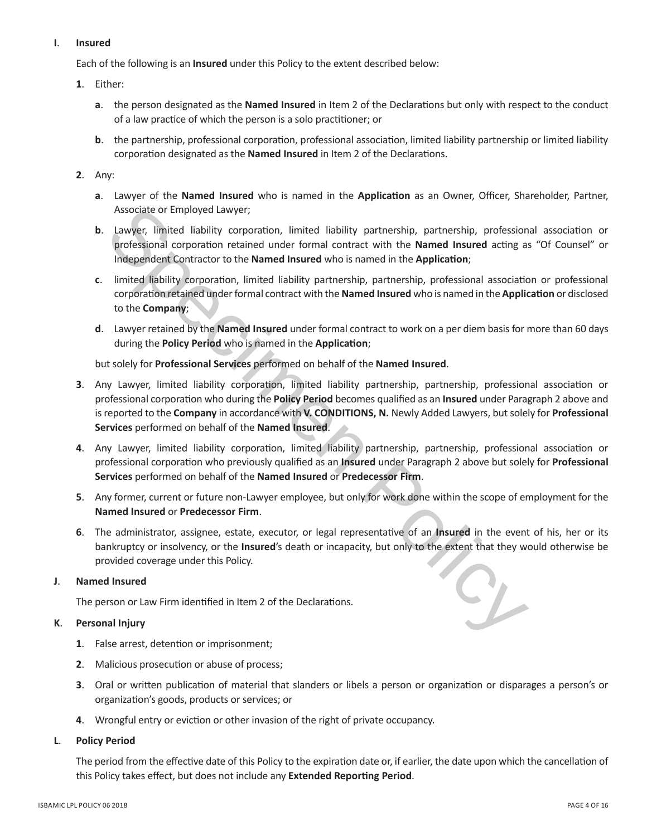# **I**. **Insured**

Each of the following is an **Insured** under this Policy to the extent described below:

# **1**. Either:

- **a**. the person designated as the **Named Insured** in Item 2 of the Declarations but only with respect to the conduct of a law practice of which the person is a solo practitioner; or
- **b**. the partnership, professional corporation, professional association, limited liability partnership or limited liability corporation designated as the **Named Insured** in Item 2 of the Declarations.

# **2**. Any:

- **a**. Lawyer of the **Named Insured** who is named in the **Application** as an Owner, Officer, Shareholder, Partner, Associate or Employed Lawyer;
- **b**. Lawyer, limited liability corporation, limited liability partnership, partnership, professional association or professional corporation retained under formal contract with the **Named Insured** acting as "Of Counsel" or Independent Contractor to the **Named Insured** who is named in the **Application**;
- **c**. limited liability corporation, limited liability partnership, partnership, professional association or professional corporation retained under formal contract with the **Named Insured** who is named in the **Application** or disclosed to the **Company**;
- **d**. Lawyer retained by the **Named Insured** under formal contract to work on a per diem basis for more than 60 days during the **Policy Period** who is named in the **Application**;

but solely for **Professional Services** performed on behalf of the **Named Insured**.

- Associate or Employed Lawyer;<br>Lawyer, limited liability partnership, partnership, professional corporation corporation cannot under formal contract with the **Named Insured** acting a<br>linegreedent Contractor to the **Named In 3**. Any Lawyer, limited liability corporation, limited liability partnership, partnership, professional association or professional corporation who during the **Policy Period** becomes qualified as an **Insured** under Paragraph 2 above and is reported to the **Company** in accordance with **V. CONDITIONS, N.** Newly Added Lawyers, but solely for **Professional Services** performed on behalf of the **Named Insured**.
- **4**. Any Lawyer, limited liability corporation, limited liability partnership, partnership, professional association or professional corporation who previously qualified as an **Insured** under Paragraph 2 above but solely for **Professional Services** performed on behalf of the **Named Insured** or **Predecessor Firm**.
- **5**. Any former, current or future non-Lawyer employee, but only for work done within the scope of employment for the **Named Insured** or **Predecessor Firm**.
- **6**. The administrator, assignee, estate, executor, or legal representative of an **Insured** in the event of his, her or its bankruptcy or insolvency, or the **Insured**'s death or incapacity, but only to the extent that they would otherwise be provided coverage under this Policy.

# **J**. **Named Insured**

The person or Law Firm identified in Item 2 of the Declarations.

# **K**. **Personal Injury**

- **1**. False arrest, detention or imprisonment;
- **2**. Malicious prosecution or abuse of process;
- **3**. Oral or written publication of material that slanders or libels a person or organization or disparages a person's or organization's goods, products or services; or
- **4**. Wrongful entry or eviction or other invasion of the right of private occupancy.

## **L**. **Policy Period**

The period from the effective date of this Policy to the expiration date or, if earlier, the date upon which the cancellation of this Policy takes effect, but does not include any **Extended Reporting Period**.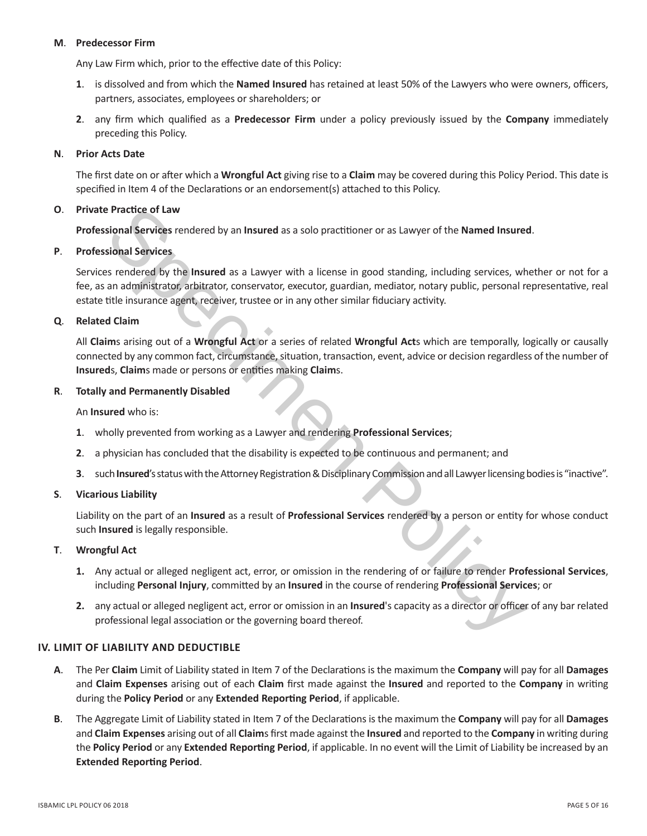#### **M**. **Predecessor Firm**

Any Law Firm which, prior to the effective date of this Policy:

- **1**. is dissolved and from which the **Named Insured** has retained at least 50% of the Lawyers who were owners, officers, partners, associates, employees or shareholders; or
- **2**. any firm which qualified as a **Predecessor Firm** under a policy previously issued by the **Company** immediately preceding this Policy.

## **N**. **Prior Acts Date**

The first date on or after which a **Wrongful Act** giving rise to a **Claim** may be covered during this Policy Period. This date is specified in Item 4 of the Declarations or an endorsement(s) attached to this Policy.

# **O**. **Private Practice of Law**

**Professional Services** rendered by an **Insured** as a solo practitioner or as Lawyer of the **Named Insured**.

#### **P**. **Professional Services**

**Example Statistics of Law<br>
Signal Services rendered by an Insured as a solo practitioner or as Lawyer of the Named Insured<br>
Signal Services rendered by the Insured as a Lawyer with a license in good standing, including se** Services rendered by the **Insured** as a Lawyer with a license in good standing, including services, whether or not for a fee, as an administrator, arbitrator, conservator, executor, guardian, mediator, notary public, personal representative, real estate title insurance agent, receiver, trustee or in any other similar fiduciary activity.

# **Q**. **Related Claim**

All **Claim**s arising out of a **Wrongful Act** or a series of related **Wrongful Act**s which are temporally, logically or causally connected by any common fact, circumstance, situation, transaction, event, advice or decision regardless of the number of **Insured**s, **Claim**s made or persons or entities making **Claim**s.

#### **R**. **Totally and Permanently Disabled**

An **Insured** who is:

- **1**. wholly prevented from working as a Lawyer and rendering **Professional Services**;
- **2**. a physician has concluded that the disability is expected to be continuous and permanent; and
- **3**. such **Insured**'s status with the Attorney Registration & Disciplinary Commission and all Lawyer licensing bodies is "inactive".

# **S**. **Vicarious Liability**

Liability on the part of an **Insured** as a result of **Professional Services** rendered by a person or entity for whose conduct such **Insured** is legally responsible.

## **T**. **Wrongful Act**

- **1.** Any actual or alleged negligent act, error, or omission in the rendering of or failure to render **Professional Services**, including **Personal Injury**, committed by an **Insured** in the course of rendering **Professional Services**; or
- **2.** any actual or alleged negligent act, error or omission in an **Insured**'s capacity as a director or officer of any bar related professional legal association or the governing board thereof.

## **IV. LIMIT OF LIABILITY AND DEDUCTIBLE**

- **A**. The Per **Claim** Limit of Liability stated in Item 7 of the Declarations is the maximum the **Company** will pay for all **Damages** and **Claim Expenses** arising out of each **Claim** first made against the **Insured** and reported to the **Company** in writing during the **Policy Period** or any **Extended Reporting Period**, if applicable.
- **B**. The Aggregate Limit of Liability stated in Item 7 of the Declarations is the maximum the **Company** will pay for all **Damages** and **Claim Expenses** arising out of all **Claim**s first made against the **Insured** and reported to the **Company** in writing during the **Policy Period** or any **Extended Reporting Period**, if applicable. In no event will the Limit of Liability be increased by an **Extended Reporting Period**.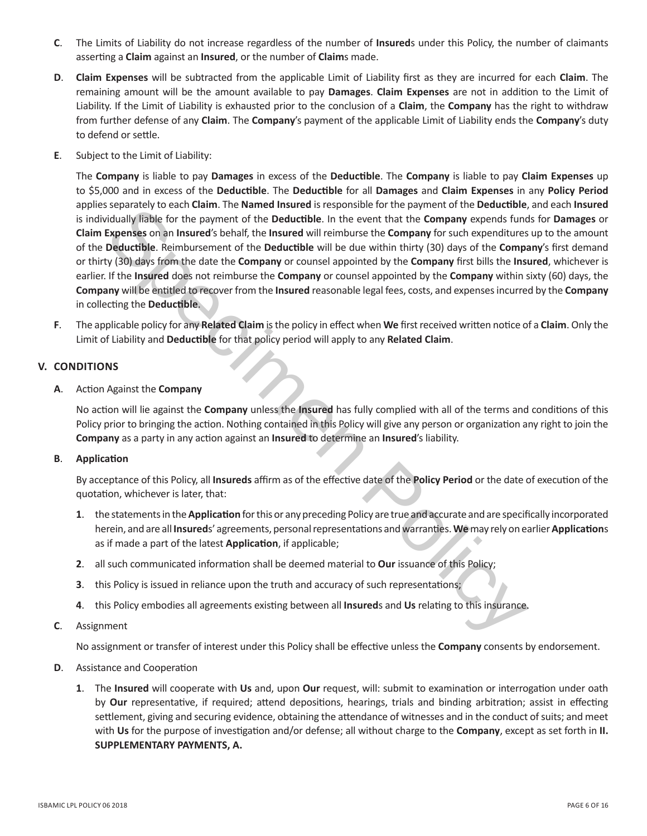- **C**. The Limits of Liability do not increase regardless of the number of **Insured**s under this Policy, the number of claimants asserting a **Claim** against an **Insured**, or the number of **Claim**s made.
- **D**. **Claim Expenses** will be subtracted from the applicable Limit of Liability first as they are incurred for each **Claim**. The remaining amount will be the amount available to pay **Damages**. **Claim Expenses** are not in addition to the Limit of Liability. If the Limit of Liability is exhausted prior to the conclusion of a **Claim**, the **Company** has the right to withdraw from further defense of any **Claim**. The **Company**'s payment of the applicable Limit of Liability ends the **Company**'s duty to defend or settle.
- **E**. Subject to the Limit of Liability:

separately to each Claim. In the name installer the poposition for the payment of the Deutsible. In the event that the Company expends functional properties transport of the Deutsible. In the event that the Company expends The **Company** is liable to pay **Damages** in excess of the **Deductible**. The **Company** is liable to pay **Claim Expenses** up to \$5,000 and in excess of the **Deductible**. The **Deductible** for all **Damages** and **Claim Expenses** in any **Policy Period** applies separately to each **Claim**. The **Named Insured** is responsible for the payment of the **Deductible**, and each **Insured** is individually liable for the payment of the **Deductible**. In the event that the **Company** expends funds for **Damages** or **Claim Expenses** on an **Insured**'s behalf, the **Insured** will reimburse the **Company** for such expenditures up to the amount of the **Deductible**. Reimbursement of the **Deductible** will be due within thirty (30) days of the **Company**'s first demand or thirty (30) days from the date the **Company** or counsel appointed by the **Company** first bills the **Insured**, whichever is earlier. If the **Insured** does not reimburse the **Company** or counsel appointed by the **Company** within sixty (60) days, the **Company** will be entitled to recover from the **Insured** reasonable legal fees, costs, and expenses incurred by the **Company** in collecting the **Deductible**.

**F**. The applicable policy for any **Related Claim** is the policy in effect when **We** first received written notice of a **Claim**. Only the Limit of Liability and **Deductible** for that policy period will apply to any **Related Claim**.

# **V. CONDITIONS**

**A**. Action Against the **Company**

No action will lie against the **Company** unless the **Insured** has fully complied with all of the terms and conditions of this Policy prior to bringing the action. Nothing contained in this Policy will give any person or organization any right to join the **Company** as a party in any action against an **Insured** to determine an **Insured**'s liability.

## **B**. **Application**

By acceptance of this Policy, all **Insureds** affirm as of the effective date of the **Policy Period** or the date of execution of the quotation, whichever is later, that:

- **1**. the statements in the **Application** for this or any preceding Policy are true and accurate and are specifically incorporated herein, and are all **Insured**s' agreements, personal representations and warranties. **We** may rely on earlier **Application**s as if made a part of the latest **Application**, if applicable;
- **2**. all such communicated information shall be deemed material to **Our** issuance of this Policy;
- **3**. this Policy is issued in reliance upon the truth and accuracy of such representations;
- **4**. this Policy embodies all agreements existing between all **Insured**s and **Us** relating to this insurance.
- **C**. Assignment

No assignment or transfer of interest under this Policy shall be effective unless the **Company** consents by endorsement.

- **D**. Assistance and Cooperation
	- **1**. The **Insured** will cooperate with **Us** and, upon **Our** request, will: submit to examination or interrogation under oath by **Our** representative, if required; attend depositions, hearings, trials and binding arbitration; assist in effecting settlement, giving and securing evidence, obtaining the attendance of witnesses and in the conduct of suits; and meet with **Us** for the purpose of investigation and/or defense; all without charge to the **Company**, except as set forth in **II. SUPPLEMENTARY PAYMENTS, A.**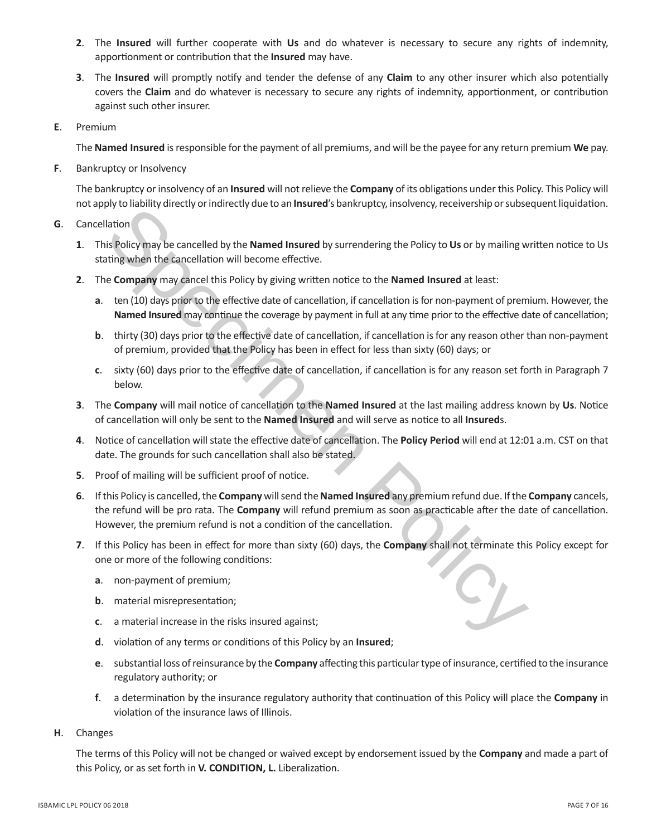- **2**. The **Insured** will further cooperate with **Us** and do whatever is necessary to secure any rights of indemnity, apportionment or contribution that the **Insured** may have.
- **3**. The **Insured** will promptly notify and tender the defense of any **Claim** to any other insurer which also potentially covers the **Claim** and do whatever is necessary to secure any rights of indemnity, apportionment, or contribution against such other insurer.
- **E**. Premium

The **Named Insured** is responsible for the payment of all premiums, and will be the payee for any return premium **We** pay.

**F**. Bankruptcy or Insolvency

The bankruptcy or insolvency of an **Insured** will not relieve the **Company** of its obligations under this Policy. This Policy will not apply to liability directly or indirectly due to an **Insured**'s bankruptcy, insolvency, receivership or subsequent liquidation.

- **G**. Cancellation
	- **1**. This Policy may be cancelled by the **Named Insured** by surrendering the Policy to **Us** or by mailing written notice to Us stating when the cancellation will become effective.
	- **2**. The **Company** may cancel this Policy by giving written notice to the **Named Insured** at least:
		- **a**. ten (10) days prior to the effective date of cancellation, if cancellation is for non-payment of premium. However, the **Named Insured** may continue the coverage by payment in full at any time prior to the effective date of cancellation;
		- **b**. thirty (30) days prior to the effective date of cancellation, if cancellation is for any reason other than non-payment of premium, provided that the Policy has been in effect for less than sixty (60) days; or
		- **c**. sixty (60) days prior to the effective date of cancellation, if cancellation is for any reason set forth in Paragraph 7 below.
	- **3**. The **Company** will mail notice of cancellation to the **Named Insured** at the last mailing address known by **Us**. Notice of cancellation will only be sent to the **Named Insured** and will serve as notice to all **Insured**s.
	- **4**. Notice of cancellation will state the effective date of cancellation. The **Policy Period** will end at 12:01 a.m. CST on that date. The grounds for such cancellation shall also be stated.
	- **5**. Proof of mailing will be sufficient proof of notice.
- by the lating<br>that is policy may be cancelled by the **Named Insured** by surrendering the Policy to Us or by mailing w<br>is Policy may be cancelled by the **Named Insured** by surrendering the Policy to Us or by mailing w<br>is Po **6**. If this Policy is cancelled, the **Company** will send the **Named Insured** any premium refund due. If the **Company** cancels, the refund will be pro rata. The **Company** will refund premium as soon as practicable after the date of cancellation. However, the premium refund is not a condition of the cancellation.
	- **7**. If this Policy has been in effect for more than sixty (60) days, the **Company** shall not terminate this Policy except for one or more of the following conditions:
		- **a**. non-payment of premium;
		- **b**. material misrepresentation;
		- **c**. a material increase in the risks insured against;
		- **d**. violation of any terms or conditions of this Policy by an **Insured**;
		- **e**. substantial loss of reinsurance by the **Company** affecting this particular type of insurance, certified to the insurance regulatory authority; or
		- **f**. a determination by the insurance regulatory authority that continuation of this Policy will place the **Company** in violation of the insurance laws of Illinois.
- **H**. Changes

The terms of this Policy will not be changed or waived except by endorsement issued by the **Company** and made a part of this Policy, or as set forth in **V. CONDITION, L.** Liberalization.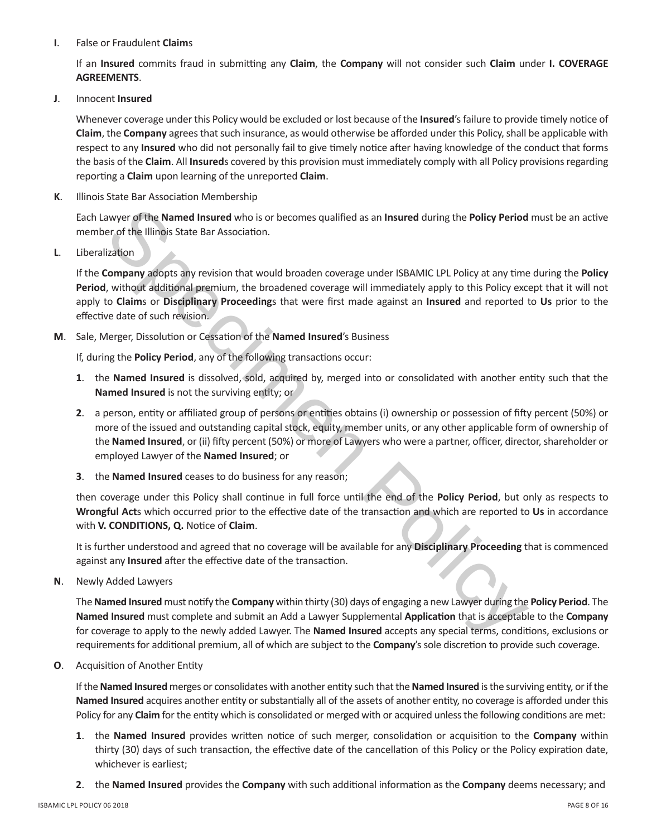## **I**. False or Fraudulent **Claim**s

If an **Insured** commits fraud in submitting any **Claim**, the **Company** will not consider such **Claim** under **I. COVERAGE AGREEMENTS**.

**J**. Innocent **Insured**

Whenever coverage under this Policy would be excluded or lost because of the **Insured**'s failure to provide timely notice of **Claim**, the **Company** agrees that such insurance, as would otherwise be afforded under this Policy, shall be applicable with respect to any **Insured** who did not personally fail to give timely notice after having knowledge of the conduct that forms the basis of the **Claim**. All **Insured**s covered by this provision must immediately comply with all Policy provisions regarding reporting a **Claim** upon learning of the unreported **Claim**.

**K**. Illinois State Bar Association Membership

Each Lawyer of the **Named Insured** who is or becomes qualified as an **Insured** during the **Policy Period** must be an active member of the Illinois State Bar Association.

**L**. Liberalization

If the **Company** adopts any revision that would broaden coverage under ISBAMIC LPL Policy at any time during the **Policy Period**, without additional premium, the broadened coverage will immediately apply to this Policy except that it will not apply to **Claim**s or **Disciplinary Proceeding**s that were first made against an **Insured** and reported to **Us** prior to the effective date of such revision.

**M**. Sale, Merger, Dissolution or Cessation of the **Named Insured**'s Business

If, during the **Policy Period**, any of the following transactions occur:

- **1**. the **Named Insured** is dissolved, sold, acquired by, merged into or consolidated with another entity such that the **Named Insured** is not the surviving entity; or
- awyer of the Named Insured who is or becomes qualified as an Insured during the Policy Period<br>or of the Illinois State Bar Association.<br>Tradition<br>accompany adopts any revision that would broaden coverage under ISBAMIC LPL **2**. a person, entity or affiliated group of persons or entities obtains (i) ownership or possession of fifty percent (50%) or more of the issued and outstanding capital stock, equity, member units, or any other applicable form of ownership of the **Named Insured**, or (ii) fifty percent (50%) or more of Lawyers who were a partner, officer, director, shareholder or employed Lawyer of the **Named Insured**; or
- **3**. the **Named Insured** ceases to do business for any reason;

then coverage under this Policy shall continue in full force until the end of the **Policy Period**, but only as respects to **Wrongful Act**s which occurred prior to the effective date of the transaction and which are reported to **Us** in accordance with **V. CONDITIONS, Q.** Notice of **Claim**.

It is further understood and agreed that no coverage will be available for any **Disciplinary Proceeding** that is commenced against any **Insured** after the effective date of the transaction.

**N**. Newly Added Lawyers

The**Named Insured** must notify the **Company** within thirty (30) days of engaging a new Lawyer during the **Policy Period**. The **Named Insured** must complete and submit an Add a Lawyer Supplemental **Application** that is acceptable to the **Company** for coverage to apply to the newly added Lawyer. The **Named Insured** accepts any special terms, conditions, exclusions or requirements for additional premium, all of which are subject to the **Company**'s sole discretion to provide such coverage.

**O**. Acquisition of Another Entity

If the **Named Insured** merges or consolidates with another entity such that the **Named Insured** is the surviving entity, or if the **Named Insured** acquires another entity or substantially all of the assets of another entity, no coverage is afforded under this Policy for any **Claim** for the entity which is consolidated or merged with or acquired unless the following conditions are met:

- **1**. the **Named Insured** provides written notice of such merger, consolidation or acquisition to the **Company** within thirty (30) days of such transaction, the effective date of the cancellation of this Policy or the Policy expiration date, whichever is earliest;
- **2**. the **Named Insured** provides the **Company** with such additional information as the **Company** deems necessary; and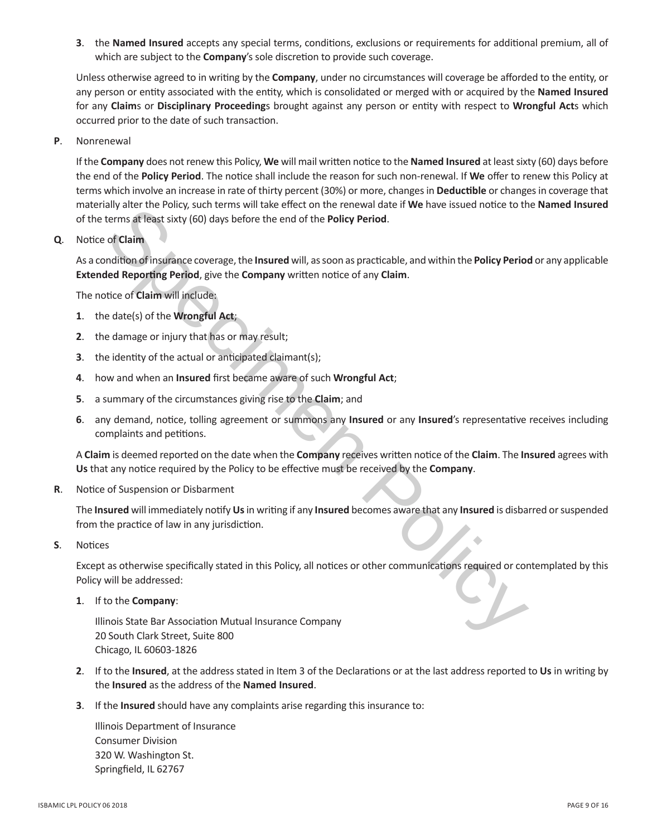**3**. the **Named Insured** accepts any special terms, conditions, exclusions or requirements for additional premium, all of which are subject to the **Company**'s sole discretion to provide such coverage.

Unless otherwise agreed to in writing by the **Company**, under no circumstances will coverage be afforded to the entity, or any person or entity associated with the entity, which is consolidated or merged with or acquired by the **Named Insured** for any **Claim**s or **Disciplinary Proceeding**s brought against any person or entity with respect to **Wrongful Act**s which occurred prior to the date of such transaction.

**P**. Nonrenewal

If the **Company** does not renew this Policy, **We** will mail written notice to the **Named Insured** at least sixty (60) days before the end of the **Policy Period**. The notice shall include the reason for such non-renewal. If **We** offer to renew this Policy at terms which involve an increase in rate of thirty percent (30%) or more, changes in **Deductible** or changes in coverage that materially alter the Policy, such terms will take effect on the renewal date if **We** have issued notice to the **Named Insured** of the terms at least sixty (60) days before the end of the **Policy Period**.

**Q**. Notice of **Claim**

As a condition of insurance coverage, the **Insured** will, as soon as practicable, and within the **Policy Period** or any applicable **Extended Reporting Period**, give the **Company** written notice of any **Claim**.

The notice of **Claim** will include:

- **1**. the date(s) of the **Wrongful Act**;
- **2**. the damage or injury that has or may result;
- **3**. the identity of the actual or anticipated claimant(s);
- **4**. how and when an **Insured** first became aware of such **Wrongful Act**;
- **5**. a summary of the circumstances giving rise to the **Claim**; and
- any anterne points, such terms will use erected to the renewal adternit we have stated for the mental and the policy derivers at least sixty (60) days before the end of the Policy Period of Claim<br>of Claim<br>of Claim<br>andition **6**. any demand, notice, tolling agreement or summons any **Insured** or any **Insured**'s representative receives including complaints and petitions.

A **Claim** is deemed reported on the date when the **Company** receives written notice of the **Claim**. The **Insured** agrees with **Us** that any notice required by the Policy to be effective must be received by the **Company**.

**R**. Notice of Suspension or Disbarment

The **Insured** will immediately notify **Us** in writing if any **Insured** becomes aware that any **Insured** is disbarred or suspended from the practice of law in any jurisdiction.

**S**. Notices

Except as otherwise specifically stated in this Policy, all notices or other communications required or contemplated by this Policy will be addressed:

**1**. If to the **Company**:

Illinois State Bar Association Mutual Insurance Company 20 South Clark Street, Suite 800 Chicago, IL 60603-1826

- **2**. If to the **Insured**, at the address stated in Item 3 of the Declarations or at the last address reported to **Us** in writing by the **Insured** as the address of the **Named Insured**.
- **3**. If the **Insured** should have any complaints arise regarding this insurance to:

Illinois Department of Insurance Consumer Division 320 W. Washington St. Springfield, IL 62767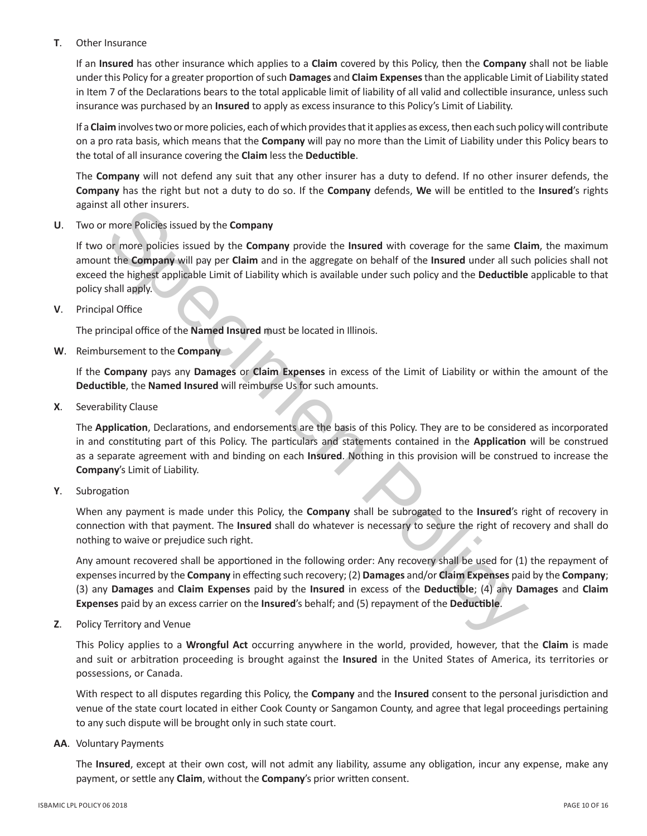# **T**. Other Insurance

If an **Insured** has other insurance which applies to a **Claim** covered by this Policy, then the **Company** shall not be liable under this Policy for a greater proportion of such **Damages** and **Claim Expenses** than the applicable Limit of Liability stated in Item 7 of the Declarations bears to the total applicable limit of liability of all valid and collectible insurance, unless such insurance was purchased by an **Insured** to apply as excess insurance to this Policy's Limit of Liability.

If a **Claim** involves two or more policies, each of which provides that it applies as excess, then each such policy will contribute on a pro rata basis, which means that the **Company** will pay no more than the Limit of Liability under this Policy bears to the total of all insurance covering the **Claim** less the **Deductible**.

The **Company** will not defend any suit that any other insurer has a duty to defend. If no other insurer defends, the **Company** has the right but not a duty to do so. If the **Company** defends, **We** will be entitled to the **Insured**'s rights against all other insurers.

**U**. Two or more Policies issued by the **Company**

If two or more policies issued by the **Company** provide the **Insured** with coverage for the same **Claim**, the maximum amount the **Company** will pay per **Claim** and in the aggregate on behalf of the **Insured** under all such policies shall not exceed the highest applicable Limit of Liability which is available under such policy and the **Deductible** applicable to that policy shall apply.

**V**. Principal Office

The principal office of the **Named Insured** must be located in Illinois.

**W**. Reimbursement to the **Company**

If the **Company** pays any **Damages** or **Claim Expenses** in excess of the Limit of Liability or within the amount of the **Deductible**, the **Named Insured** will reimburse Us for such amounts.

**X**. Severability Clause

rano che prissies:<br>
an other insuresers:<br>
more Policies issued by the **Company**<br>
more policies issued by the **Company**<br>
or more policies issued by the **Company**<br>
or more policies issued by the **Company**<br>
or more policies i The **Application**, Declarations, and endorsements are the basis of this Policy. They are to be considered as incorporated in and constituting part of this Policy. The particulars and statements contained in the **Application** will be construed as a separate agreement with and binding on each **Insured**. Nothing in this provision will be construed to increase the **Company**'s Limit of Liability.

**Y**. Subrogation

When any payment is made under this Policy, the **Company** shall be subrogated to the **Insured**'s right of recovery in connection with that payment. The **Insured** shall do whatever is necessary to secure the right of recovery and shall do nothing to waive or prejudice such right.

Any amount recovered shall be apportioned in the following order: Any recovery shall be used for (1) the repayment of expenses incurred by the **Company** in effecting such recovery; (2) **Damages** and/or **Claim Expenses** paid by the **Company**; (3) any **Damages** and **Claim Expenses** paid by the **Insured** in excess of the **Deductible**; (4) any **Damages** and **Claim Expenses** paid by an excess carrier on the **Insured**'s behalf; and (5) repayment of the **Deductible**.

**Z**. Policy Territory and Venue

This Policy applies to a **Wrongful Act** occurring anywhere in the world, provided, however, that the **Claim** is made and suit or arbitration proceeding is brought against the **Insured** in the United States of America, its territories or possessions, or Canada.

With respect to all disputes regarding this Policy, the **Company** and the **Insured** consent to the personal jurisdiction and venue of the state court located in either Cook County or Sangamon County, and agree that legal proceedings pertaining to any such dispute will be brought only in such state court.

**AA**. Voluntary Payments

The **Insured**, except at their own cost, will not admit any liability, assume any obligation, incur any expense, make any payment, or settle any **Claim**, without the **Company**'s prior written consent.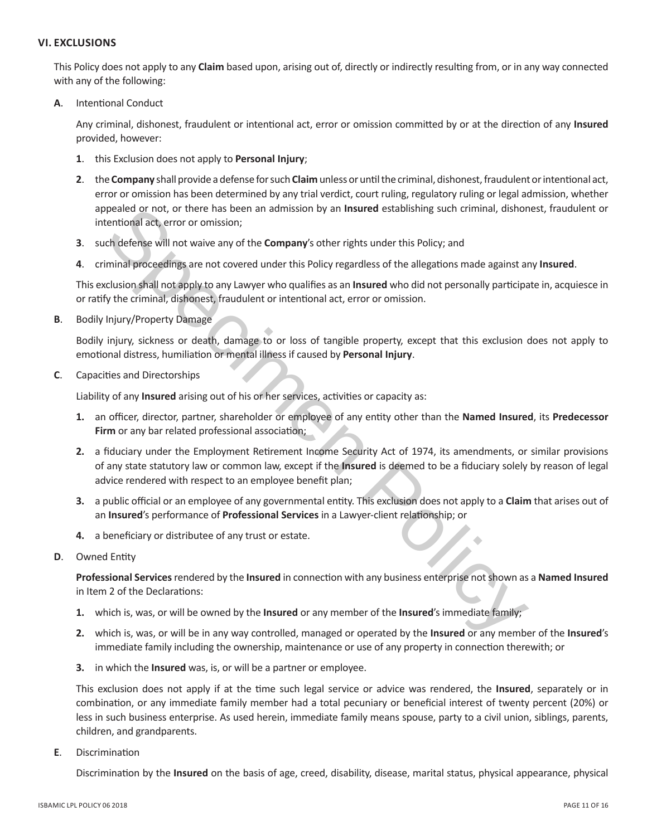## **VI. EXCLUSIONS**

This Policy does not apply to any **Claim** based upon, arising out of, directly or indirectly resulting from, or in any way connected with any of the following:

**A**. Intentional Conduct

Any criminal, dishonest, fraudulent or intentional act, error or omission committed by or at the direction of any **Insured** provided, however:

- **1**. this Exclusion does not apply to **Personal Injury**;
- **2**. the **Company** shall provide a defense for such **Claim** unless or until the criminal, dishonest, fraudulent or intentional act, error or omission has been determined by any trial verdict, court ruling, regulatory ruling or legal admission, whether appealed or not, or there has been an admission by an **Insured** establishing such criminal, dishonest, fraudulent or intentional act, error or omission;
- **3**. such defense will not waive any of the **Company**'s other rights under this Policy; and
- **4**. criminal proceedings are not covered under this Policy regardless of the allegations made against any **Insured**.

This exclusion shall not apply to any Lawyer who qualifies as an **Insured** who did not personally participate in, acquiesce in or ratify the criminal, dishonest, fraudulent or intentional act, error or omission.

**B**. Bodily Injury/Property Damage

Bodily injury, sickness or death, damage to or loss of tangible property, except that this exclusion does not apply to emotional distress, humiliation or mental illness if caused by **Personal Injury**.

**C**. Capacities and Directorships

Liability of any **Insured** arising out of his or her services, activities or capacity as:

- **1.** an officer, director, partner, shareholder or employee of any entity other than the **Named Insured**, its **Predecessor Firm** or any bar related professional association;
- peake or not, or there has been an admission by an Insured establishing such criminal, dishoreal or not, or there has been an admission by an Insured establishing such criminal, dishorealized criminal proceedings are not c **2.** a fiduciary under the Employment Retirement Income Security Act of 1974, its amendments, or similar provisions of any state statutory law or common law, except if the **Insured** is deemed to be a fiduciary solely by reason of legal advice rendered with respect to an employee benefit plan;
- **3.** a public official or an employee of any governmental entity. This exclusion does not apply to a **Claim** that arises out of an **Insured**'s performance of **Professional Services** in a Lawyer-client relationship; or
- **4.** a beneficiary or distributee of any trust or estate.
- **D**. Owned Entity

**Professional Services** rendered by the **Insured** in connection with any business enterprise not shown as a **Named Insured** in Item 2 of the Declarations:

- **1.** which is, was, or will be owned by the **Insured** or any member of the **Insured**'s immediate family;
- **2.** which is, was, or will be in any way controlled, managed or operated by the **Insured** or any member of the **Insured**'s immediate family including the ownership, maintenance or use of any property in connection therewith; or
- **3.** in which the **Insured** was, is, or will be a partner or employee.

This exclusion does not apply if at the time such legal service or advice was rendered, the **Insured**, separately or in combination, or any immediate family member had a total pecuniary or beneficial interest of twenty percent (20%) or less in such business enterprise. As used herein, immediate family means spouse, party to a civil union, siblings, parents, children, and grandparents.

**E**. Discrimination

Discrimination by the **Insured** on the basis of age, creed, disability, disease, marital status, physical appearance, physical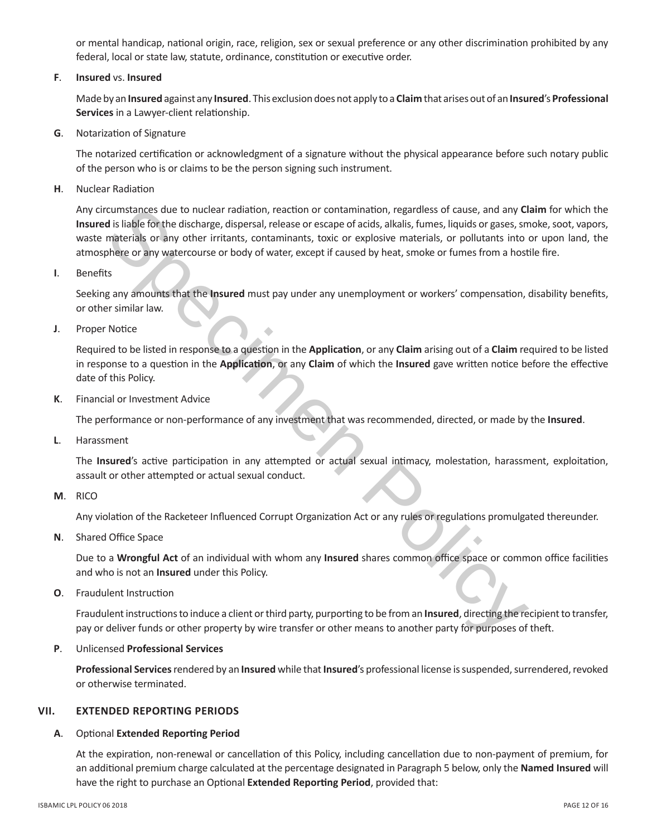or mental handicap, national origin, race, religion, sex or sexual preference or any other discrimination prohibited by any federal, local or state law, statute, ordinance, constitution or executive order.

# **F**. **Insured** vs. **Insured**

Made by an **Insured** against any **Insured**. This exclusion does not apply to a **Claim** that arises out of an **Insured**'s **Professional Services** in a Lawyer-client relationship.

**G**. Notarization of Signature

The notarized certification or acknowledgment of a signature without the physical appearance before such notary public of the person who is or claims to be the person signing such instrument.

**H**. Nuclear Radiation

crumstances due to nuclear radiation, reaction or contamination, regardless of cause, and any CI<br>
distilable for the distances, dispersal, release or eccape of acids, allelists, fumes, liquids<br>
distilable for dimer irritan Any circumstances due to nuclear radiation, reaction or contamination, regardless of cause, and any **Claim** for which the **Insured** is liable for the discharge, dispersal, release or escape of acids, alkalis, fumes, liquids or gases, smoke, soot, vapors, waste materials or any other irritants, contaminants, toxic or explosive materials, or pollutants into or upon land, the atmosphere or any watercourse or body of water, except if caused by heat, smoke or fumes from a hostile fire.

**I**. Benefits

Seeking any amounts that the **Insured** must pay under any unemployment or workers' compensation, disability benefits, or other similar law.

**J**. Proper Notice

Required to be listed in response to a question in the **Application**, or any **Claim** arising out of a **Claim** required to be listed in response to a question in the **Application**, or any **Claim** of which the **Insured** gave written notice before the effective date of this Policy.

**K**. Financial or Investment Advice

The performance or non-performance of any investment that was recommended, directed, or made by the **Insured**.

**L**. Harassment

The **Insured**'s active participation in any attempted or actual sexual intimacy, molestation, harassment, exploitation, assault or other attempted or actual sexual conduct.

**M**. RICO

Any violation of the Racketeer Influenced Corrupt Organization Act or any rules or regulations promulgated thereunder.

**N**. Shared Office Space

Due to a **Wrongful Act** of an individual with whom any **Insured** shares common office space or common office facilities and who is not an **Insured** under this Policy.

**O**. Fraudulent Instruction

Fraudulent instructions to induce a client or third party, purporting to be from an **Insured**, directing the recipient to transfer, pay or deliver funds or other property by wire transfer or other means to another party for purposes of theft.

**P**. Unlicensed **Professional Services**

**Professional Services** rendered by an **Insured** while that **Insured**'s professional license is suspended, surrendered, revoked or otherwise terminated.

# **VII. EXTENDED REPORTING PERIODS**

## **A**. Optional **Extended Reporting Period**

At the expiration, non-renewal or cancellation of this Policy, including cancellation due to non-payment of premium, for an additional premium charge calculated at the percentage designated in Paragraph 5 below, only the **Named Insured** will have the right to purchase an Optional **Extended Reporting Period**, provided that: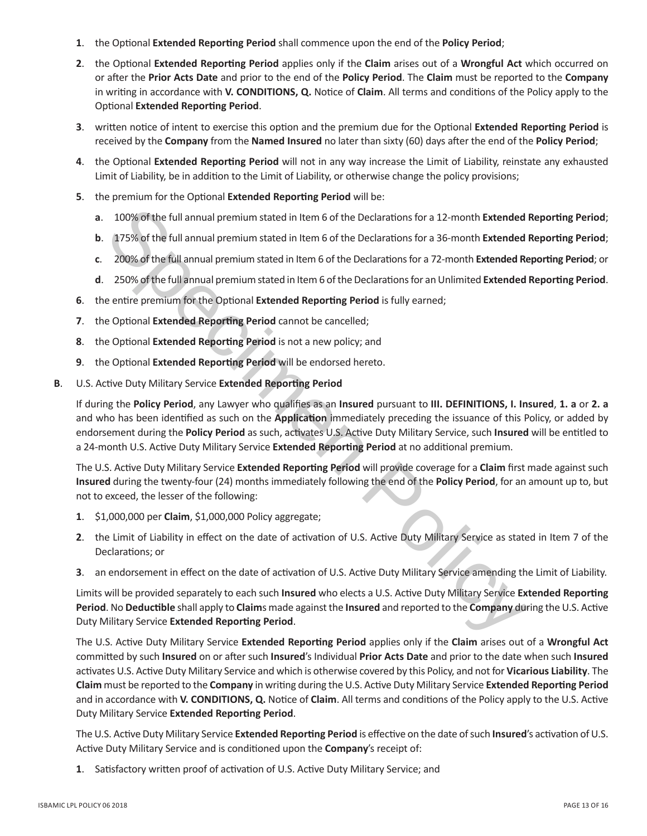- **1**. the Optional **Extended Reporting Period** shall commence upon the end of the **Policy Period**;
- **2**. the Optional **Extended Reporting Period** applies only if the **Claim** arises out of a **Wrongful Act** which occurred on or after the **Prior Acts Date** and prior to the end of the **Policy Period**. The **Claim** must be reported to the **Company** in writing in accordance with **V. CONDITIONS, Q.** Notice of **Claim**. All terms and conditions of the Policy apply to the Optional **Extended Reporting Period**.
- **3**. written notice of intent to exercise this option and the premium due for the Optional **Extended Reporting Period** is received by the **Company** from the **Named Insured** no later than sixty (60) days after the end of the **Policy Period**;
- **4**. the Optional **Extended Reporting Period** will not in any way increase the Limit of Liability, reinstate any exhausted Limit of Liability, be in addition to the Limit of Liability, or otherwise change the policy provisions;
- **5**. the premium for the Optional **Extended Reporting Period** will be:
	- **a**. 100% of the full annual premium stated in Item 6 of the Declarations for a 12-month **Extended Reporting Period**;
	- **b**. 175% of the full annual premium stated in Item 6 of the Declarations for a 36-month **Extended Reporting Period**;
	- **c**. 200% of the full annual premium stated in Item 6 of the Declarations for a 72-month **Extended Reporting Period**; or
	- **d**. 250% of the full annual premium stated in Item 6 of the Declarations for an Unlimited **Extended Reporting Period**.
- **6**. the entire premium for the Optional **Extended Reporting Period** is fully earned;
- **7**. the Optional **Extended Reporting Period** cannot be cancelled;
- **8**. the Optional **Extended Reporting Period** is not a new policy; and
- **9**. the Optional **Extended Reporting Period** will be endorsed hereto.
- **B**. U.S. Active Duty Military Service **Extended Reporting Period**

100% of the full annual premium stated in Item 6 of the Declarations for a 12-month Extended<br>175% of the full annual premium stated in Item 6 of the Declarations for a 36-month Extended<br>200% of the full annual premium stat If during the **Policy Period**, any Lawyer who qualifies as an **Insured** pursuant to **III. DEFINITIONS, I. Insured**, **1. a** or **2. a** and who has been identified as such on the **Application** immediately preceding the issuance of this Policy, or added by endorsement during the **Policy Period** as such, activates U.S. Active Duty Military Service, such **Insured** will be entitled to a 24-month U.S. Active Duty Military Service **Extended Reporting Period** at no additional premium.

The U.S. Active Duty Military Service **Extended Reporting Period** will provide coverage for a **Claim** first made against such **Insured** during the twenty-four (24) months immediately following the end of the **Policy Period**, for an amount up to, but not to exceed, the lesser of the following:

- **1**. \$1,000,000 per **Claim**, \$1,000,000 Policy aggregate;
- **2**. the Limit of Liability in effect on the date of activation of U.S. Active Duty Military Service as stated in Item 7 of the Declarations; or
- **3**. an endorsement in effect on the date of activation of U.S. Active Duty Military Service amending the Limit of Liability.

Limits will be provided separately to each such **Insured** who elects a U.S. Active Duty Military Service **Extended Reporting Period**. No **Deductible** shall apply to **Claim**s made against the **Insured** and reported to the **Company** during the U.S. Active Duty Military Service **Extended Reporting Period**.

The U.S. Active Duty Military Service **Extended Reporting Period** applies only if the **Claim** arises out of a **Wrongful Act** committed by such **Insured** on or after such **Insured**'s Individual **Prior Acts Date** and prior to the date when such **Insured** activates U.S. Active Duty Military Service and which is otherwise covered by this Policy, and not for **Vicarious Liability**. The **Claim** must be reported to the **Company** in writing during the U.S. Active Duty Military Service **Extended Reporting Period** and in accordance with **V. CONDITIONS, Q.** Notice of **Claim**. All terms and conditions of the Policy apply to the U.S. Active Duty Military Service **Extended Reporting Period**.

The U.S. Active Duty Military Service **Extended Reporting Period** is effective on the date of such **Insured**'s activation of U.S. Active Duty Military Service and is conditioned upon the **Company**'s receipt of:

**1**. Satisfactory written proof of activation of U.S. Active Duty Military Service; and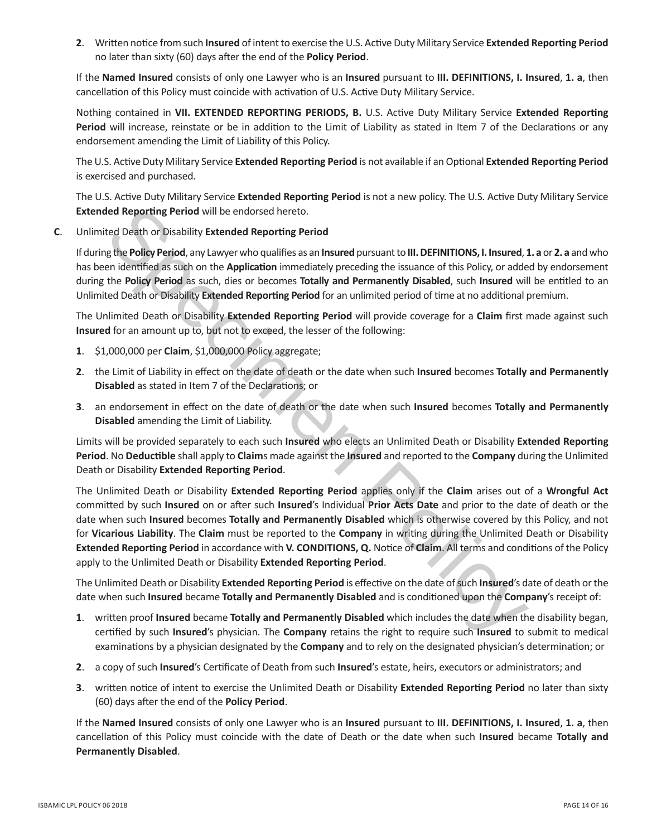**2**. Written notice from such **Insured** of intent to exercise the U.S. Active Duty Military Service **Extended Reporting Period** no later than sixty (60) days after the end of the **Policy Period**.

If the **Named Insured** consists of only one Lawyer who is an **Insured** pursuant to **III. DEFINITIONS, I. Insured**, **1. a**, then cancellation of this Policy must coincide with activation of U.S. Active Duty Military Service.

Nothing contained in **VII. EXTENDED REPORTING PERIODS, B.** U.S. Active Duty Military Service **Extended Reporting Period** will increase, reinstate or be in addition to the Limit of Liability as stated in Item 7 of the Declarations or any endorsement amending the Limit of Liability of this Policy.

The U.S. Active Duty Military Service **Extended Reporting Period** is not available if an Optional **Extended Reporting Period** is exercised and purchased.

The U.S. Active Duty Military Service **Extended Reporting Period** is not a new policy. The U.S. Active Duty Military Service **Extended Reporting Period** will be endorsed hereto.

**C**. Unlimited Death or Disability **Extended Reporting Period**

If during the **Policy Period**, any Lawyer who qualifies as an **Insured** pursuant to **III. DEFINITIONS, I. Insured**, **1. a** or **2. a** and who has been identified as such on the **Application** immediately preceding the issuance of this Policy, or added by endorsement during the **Policy Period** as such, dies or becomes **Totally and Permanently Disabled**, such **Insured** will be entitled to an Unlimited Death or Disability **Extended Reporting Period** for an unlimited period of time at no additional premium.

The Unlimited Death or Disability **Extended Reporting Period** will provide coverage for a **Claim** first made against such **Insured** for an amount up to, but not to exceed, the lesser of the following:

- **1**. \$1,000,000 per **Claim**, \$1,000,000 Policy aggregate;
- **2**. the Limit of Liability in effect on the date of death or the date when such **Insured** becomes **Totally and Permanently Disabled** as stated in Item 7 of the Declarations; or
- **3**. an endorsement in effect on the date of death or the date when such **Insured** becomes **Totally and Permanently Disabled** amending the Limit of Liability.

Limits will be provided separately to each such **Insured** who elects an Unlimited Death or Disability **Extended Reporting Period**. No **Deductible** shall apply to **Claim**s made against the **Insured** and reported to the **Company** during the Unlimited Death or Disability **Extended Reporting Period**.

ded Reporting Period will be endorsed hereto.<br>
Yelt frelology the production of Period (in DEFINITIONS, I. Insured, the relation of the policy of addeterminations (in the Application immediately preceding the issuance of t The Unlimited Death or Disability **Extended Reporting Period** applies only if the **Claim** arises out of a **Wrongful Act** committed by such **Insured** on or after such **Insured**'s Individual **Prior Acts Date** and prior to the date of death or the date when such **Insured** becomes **Totally and Permanently Disabled** which is otherwise covered by this Policy, and not for **Vicarious Liability**. The **Claim** must be reported to the **Company** in writing during the Unlimited Death or Disability **Extended Reporting Period** in accordance with **V. CONDITIONS, Q.** Notice of **Claim**. All terms and conditions of the Policy apply to the Unlimited Death or Disability **Extended Reporting Period**.

The Unlimited Death or Disability **Extended Reporting Period** is effective on the date of such **Insured**'s date of death or the date when such **Insured** became **Totally and Permanently Disabled** and is conditioned upon the **Company**'s receipt of:

- **1**. written proof **Insured** became **Totally and Permanently Disabled** which includes the date when the disability began, certified by such **Insured**'s physician. The **Company** retains the right to require such **Insured** to submit to medical examinations by a physician designated by the **Company** and to rely on the designated physician's determination; or
- **2**. a copy of such **Insured**'s Certificate of Death from such **Insured**'s estate, heirs, executors or administrators; and
- **3**. written notice of intent to exercise the Unlimited Death or Disability **Extended Reporting Period** no later than sixty (60) days after the end of the **Policy Period**.

If the **Named Insured** consists of only one Lawyer who is an **Insured** pursuant to **III. DEFINITIONS, I. Insured**, **1. a**, then cancellation of this Policy must coincide with the date of Death or the date when such **Insured** became **Totally and Permanently Disabled**.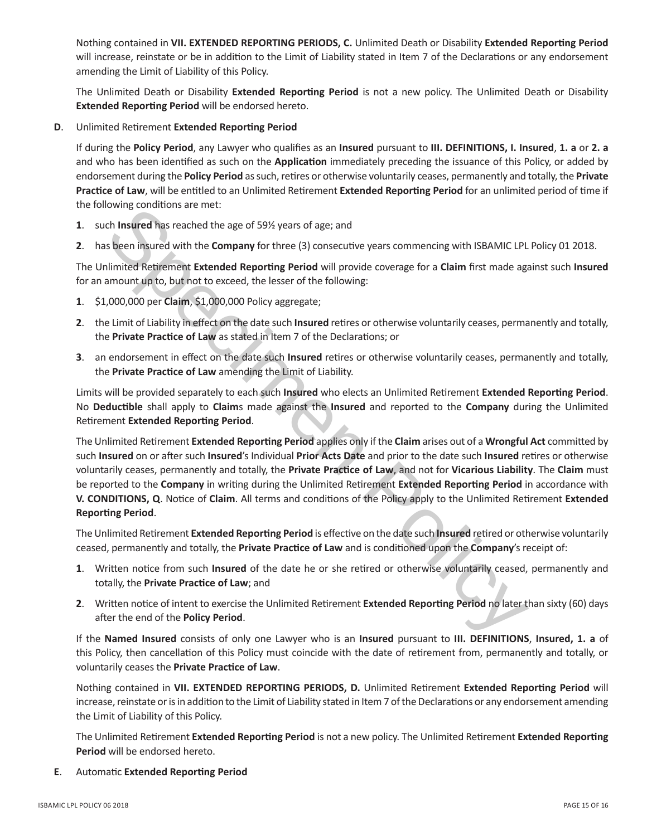Nothing contained in **VII. EXTENDED REPORTING PERIODS, C.** Unlimited Death or Disability **Extended Reporting Period** will increase, reinstate or be in addition to the Limit of Liability stated in Item 7 of the Declarations or any endorsement amending the Limit of Liability of this Policy.

The Unlimited Death or Disability **Extended Reporting Period** is not a new policy. The Unlimited Death or Disability **Extended Reporting Period** will be endorsed hereto.

**D**. Unlimited Retirement **Extended Reporting Period**

If during the **Policy Period**, any Lawyer who qualifies as an **Insured** pursuant to **III. DEFINITIONS, I. Insured**, **1. a** or **2. a** and who has been identified as such on the **Application** immediately preceding the issuance of this Policy, or added by endorsement during the **Policy Period** as such, retires or otherwise voluntarily ceases, permanently and totally, the **Private Practice of Law**, will be entitled to an Unlimited Retirement **Extended Reporting Period** for an unlimited period of time if the following conditions are met:

- **1**. such **Insured** has reached the age of 59½ years of age; and
- **2**. has been insured with the **Company** for three (3) consecutive years commencing with ISBAMIC LPL Policy 01 2018.

The Unlimited Retirement **Extended Reporting Period** will provide coverage for a **Claim** first made against such **Insured** for an amount up to, but not to exceed, the lesser of the following:

- **1**. \$1,000,000 per **Claim**, \$1,000,000 Policy aggregate;
- **2**. the Limit of Liability in effect on the date such **Insured** retires or otherwise voluntarily ceases, permanently and totally, the **Private Practice of Law** as stated in Item 7 of the Declarations; or
- **3**. an endorsement in effect on the date such **Insured** retires or otherwise voluntarily ceases, permanently and totally, the **Private Practice of Law** amending the Limit of Liability.

Limits will be provided separately to each such **Insured** who elects an Unlimited Retirement **Extended Reporting Period**. No **Deductible** shall apply to **Claim**s made against the **Insured** and reported to the **Company** during the Unlimited Retirement **Extended Reporting Period**.

In Issue and the base reader that the comparison is seen in the state of Information is seen instanted the Bare instanted the Dempary for three (3) consecutive years commencing with ISBAMIC LPL<br>Is been instanted with the The Unlimited Retirement **Extended Reporting Period** applies only if the **Claim** arises out of a **Wrongful Act** committed by such **Insured** on or after such **Insured**'s Individual **Prior Acts Date** and prior to the date such **Insured** retires or otherwise voluntarily ceases, permanently and totally, the **Private Practice of Law**, and not for **Vicarious Liability**. The **Claim** must be reported to the **Company** in writing during the Unlimited Retirement **Extended Reporting Period** in accordance with **V. CONDITIONS, Q**. Notice of **Claim**. All terms and conditions of the Policy apply to the Unlimited Retirement **Extended Reporting Period**.

The Unlimited Retirement **Extended Reporting Period** is effective on the date such **Insured** retired or otherwise voluntarily ceased, permanently and totally, the **Private Practice of Law** and is conditioned upon the **Company**'s receipt of:

- **1**. Written notice from such **Insured** of the date he or she retired or otherwise voluntarily ceased, permanently and totally, the **Private Practice of Law**; and
- **2**. Written notice of intent to exercise the Unlimited Retirement **Extended Reporting Period** no later than sixty (60) days after the end of the **Policy Period**.

If the **Named Insured** consists of only one Lawyer who is an **Insured** pursuant to **III. DEFINITIONS**, **Insured, 1. a** of this Policy, then cancellation of this Policy must coincide with the date of retirement from, permanently and totally, or voluntarily ceases the **Private Practice of Law**.

Nothing contained in **VII. EXTENDED REPORTING PERIODS, D.** Unlimited Retirement **Extended Reporting Period** will increase, reinstate or is in addition to the Limit of Liability stated in Item 7 of the Declarations or any endorsement amending the Limit of Liability of this Policy.

The Unlimited Retirement **Extended Reporting Period** is not a new policy. The Unlimited Retirement **Extended Reporting Period** will be endorsed hereto.

**E**. Automatic **Extended Reporting Period**